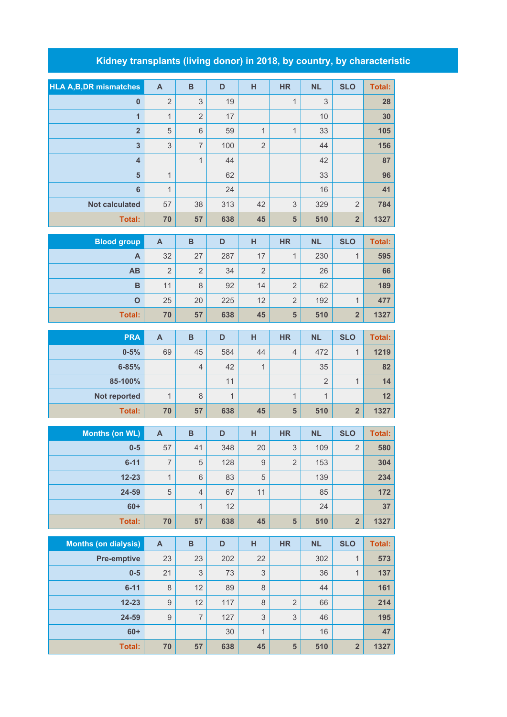## **Kidney transplants (living donor) in 2018, by country, by characteristic**

| <b>HLA A, B, DR mismatches</b> | $\overline{A}$            | $\mathbf B$               | D            | H                         | <b>HR</b>                 | <b>NL</b>      | <b>SLO</b>              | <b>Total:</b> |
|--------------------------------|---------------------------|---------------------------|--------------|---------------------------|---------------------------|----------------|-------------------------|---------------|
| $\mathbf{0}$                   | $\overline{2}$            | 3                         | 19           |                           | $\mathbf 1$               | 3              |                         | 28            |
| $\overline{1}$                 | $\mathbf{1}$              | $\overline{2}$            | 17           |                           |                           | 10             |                         | 30            |
| $\overline{\mathbf{2}}$        | $\sqrt{5}$                | $6\,$                     | 59           | $\mathbf{1}$              | $\mathbf{1}$              | 33             |                         | 105           |
| $\overline{\mathbf{3}}$        | $\ensuremath{\mathsf{3}}$ | $\overline{7}$            | 100          | $\overline{2}$            |                           | 44             |                         | 156           |
| $\overline{\mathbf{4}}$        |                           | $\mathbf{1}$              | 44           |                           |                           | 42             |                         | 87            |
| $5\phantom{1}$                 | $\mathbf{1}$              |                           | 62           |                           |                           | 33             |                         | 96            |
| $6\phantom{1}6$                | $\mathbf{1}$              |                           | 24           |                           |                           | 16             |                         | 41            |
| <b>Not calculated</b>          | 57                        | 38                        | 313          | 42                        | 3                         | 329            | $\overline{2}$          | 784           |
| <b>Total:</b>                  | 70                        | 57                        | 638          | 45                        | 5                         | 510            | $\overline{\mathbf{2}}$ | 1327          |
| <b>Blood group</b>             | $\mathsf{A}$              | $\overline{B}$            | D            | H                         | <b>HR</b>                 | <b>NL</b>      | <b>SLO</b>              | <b>Total:</b> |
| A                              | 32                        | 27                        | 287          | 17                        | $\mathbf 1$               | 230            | $\mathbf{1}$            | 595           |
| AB                             | $\overline{2}$            | $\overline{2}$            | 34           | $\overline{2}$            |                           | 26             |                         | 66            |
| $\mathbf B$                    | 11                        | $\,8\,$                   | 92           | 14                        | $\overline{2}$            | 62             |                         | 189           |
| $\overline{O}$                 | 25                        | 20                        | 225          | 12                        | $\overline{2}$            | 192            | 1                       | 477           |
| <b>Total:</b>                  | 70                        | 57                        | 638          | 45                        | $5\phantom{1}$            | 510            | $\overline{\mathbf{2}}$ | 1327          |
| <b>PRA</b>                     | $\mathbf{A}$              | $\mathbf B$               | D            | H                         | <b>HR</b>                 | <b>NL</b>      | <b>SLO</b>              | <b>Total:</b> |
| $0 - 5%$                       | 69                        | 45                        | 584          | 44                        | $\overline{4}$            | 472            | $\mathbf{1}$            | 1219          |
| $6 - 85%$                      |                           | $\overline{4}$            | 42           | 1                         |                           | 35             |                         | 82            |
| 85-100%                        |                           |                           | 11           |                           |                           | $\overline{2}$ | $\mathbf{1}$            | 14            |
| Not reported                   | $\mathbf{1}$              | $\,8\,$                   | $\mathbf{1}$ |                           | $\mathbf 1$               | $\mathbf{1}$   |                         | 12            |
| <b>Total:</b>                  | 70                        | 57                        | 638          | 45                        | 5                         | 510            | $\overline{\mathbf{2}}$ | 1327          |
|                                |                           |                           |              |                           |                           |                |                         |               |
| <b>Months (on WL)</b>          | $\boldsymbol{\mathsf{A}}$ | $\overline{B}$            | D            | H                         | <b>HR</b>                 | <b>NL</b>      | <b>SLO</b>              | <b>Total:</b> |
| $0-5$                          | 57                        | 41                        | 348          | 20                        | $\ensuremath{\mathsf{3}}$ | 109            | $\overline{2}$          | 580           |
| $6 - 11$                       | 7                         | 5                         | 128          | 9                         | 2                         | 153            |                         | 304           |
| $12 - 23$                      | $\overline{1}$            | $6\phantom{1}$            | 83           | 5                         |                           | 139            |                         | 234           |
| 24-59                          | $\mathbf 5$               | $\overline{4}$            | 67           | 11                        |                           | 85             |                         | 172           |
| $60+$                          |                           | $\mathbf{1}$              | 12           |                           |                           | 24             |                         | 37            |
| Total:                         | 70                        | 57                        | 638          | 45                        | $5\phantom{1}$            | 510            | $\overline{\mathbf{2}}$ | 1327          |
| <b>Months (on dialysis)</b>    | $\mathsf{A}$              | $\, {\bf B}$              | D            | н                         | <b>HR</b>                 | <b>NL</b>      | <b>SLO</b>              | <b>Total:</b> |
| <b>Pre-emptive</b>             | 23                        | 23                        | 202          | 22                        |                           | 302            | $\mathbf{1}$            | 573           |
| $0-5$                          | 21                        | $\ensuremath{\mathsf{3}}$ | 73           | $\ensuremath{\mathsf{3}}$ |                           | 36             | $\mathbf{1}$            | 137           |
| $6 - 11$                       | $\,8\,$                   | 12                        | 89           | $\,8\,$                   |                           | 44             |                         | 161           |
| $12 - 23$                      | $\hbox{9}$                | 12                        | 117          | 8                         | $\overline{2}$            | 66             |                         | 214           |
| 24-59                          | $\hbox{9}$                | $\overline{7}$            | 127          | $\ensuremath{\mathsf{3}}$ | $\ensuremath{\mathsf{3}}$ | 46             |                         | 195           |
| $60+$                          |                           |                           | 30           | 1                         |                           | 16             |                         | 47            |
| Total:                         | 70                        | 57                        | 638          | 45                        | ${\bf 5}$                 | 510            | $\overline{\mathbf{2}}$ | 1327          |